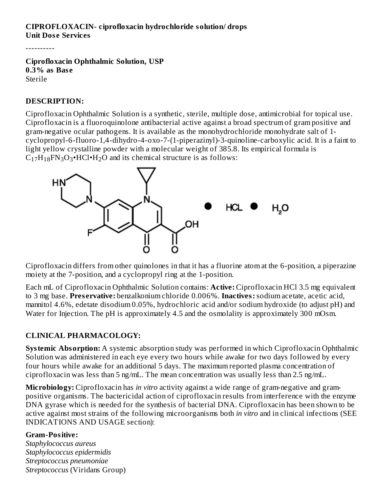### **CIPROFLOXACIN- ciprofloxacin hydrochloride solution/ drops Unit Dos e Services**

----------

**Ciprofloxacin Ophthalmic Solution, USP 0.3% as Bas e** Sterile

#### **DESCRIPTION:**

Ciprofloxacin Ophthalmic Solution is a synthetic, sterile, multiple dose, antimicrobial for topical use. Ciprofloxacin is a fluoroquinolone antibacterial active against a broad spectrum of gram positive and gram-negative ocular pathogens. It is available as the monohydrochloride monohydrate salt of 1 cyclopropyl-6-fluoro-1,4-dihydro-4-oxo-7-(1-piperazinyl)-3-quinoline-carboxylic acid. It is a faint to light yellow crystalline powder with a molecular weight of 385.8. Its empirical formula is  $C_{17}H_{18}FN_3O_3 \cdot HCl \cdot H_2O$  and its chemical structure is as follows:



Ciprofloxacin differs from other quinolones in that it has a fluorine atom at the 6-position, a piperazine moiety at the 7-position, and a cyclopropyl ring at the 1-position.

Each mL of Ciprofloxacin Ophthalmic Solution contains: **Active:** Ciprofloxacin HCl 3.5 mg equivalent to 3 mg base. **Pres ervative:** benzalkonium chloride 0.006%. **Inactives:**sodium acetate, acetic acid, mannitol 4.6%, edetate disodium 0.05%, hydrochloric acid and/or sodium hydroxide (to adjust pH) and Water for Injection. The pH is approximately 4.5 and the osmolality is approximately 300 mOsm.

#### **CLINICAL PHARMACOLOGY:**

**Systemic Absorption:** A systemic absorption study was performed in which Ciprofloxacin Ophthalmic Solution was administered in each eye every two hours while awake for two days followed by every four hours while awake for an additional 5 days. The maximum reported plasma concentration of ciprofloxacin was less than 5 ng/mL. The mean concentration was usually less than 2.5 ng/mL.

**Microbiology:** Ciprofloxacin has *in vitro* activity against a wide range of gram-negative and grampositive organisms. The bactericidal action of ciprofloxacin results from interference with the enzyme DNA gyrase which is needed for the synthesis of bacterial DNA. Ciprofloxacin has been shown to be active against most strains of the following microorganisms both *in vitro* and in clinical infections (SEE INDICATIONS AND USAGE section):

#### **Gram-Positive:**

*Staphylococcus aureus Staphylococcus epidermidis Streptococcus pneumoniae Streptococcus* (Viridans Group)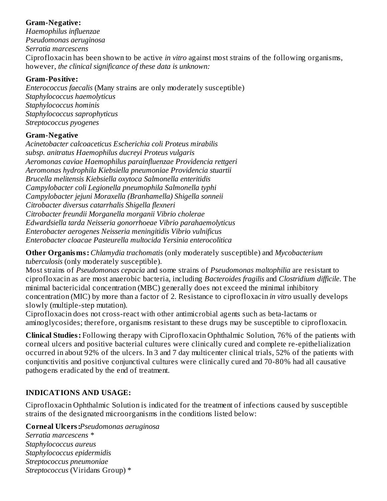# **Gram-Negative:**

*Haemophilus influenzae Pseudomonas aeruginosa Serratia marcescens* Ciprofloxacin has been shown to be active *in vitro* against most strains of the following organisms, however, *the clinical significance of these data is unknown:*

## **Gram-Positive:**

*Enterococcus faecalis* (Many strains are only moderately susceptible) *Staphylococcus haemolyticus Staphylococcus hominis Staphylococcus saprophyticus Streptococcus pyogenes*

# **Gram-Negative**

*Acinetobacter calcoaceticus Escherichia coli Proteus mirabilis subsp. anitratus Haemophilus ducreyi Proteus vulgaris Aeromonas caviae Haemophilus parainfluenzae Providencia rettgeri Aeromonas hydrophila Kiebsiella pneumoniae Providencia stuartii Brucella melitensis Kiebsiella oxytoca Salmonella enteritidis Campylobacter coli Legionella pneumophila Salmonella typhi Campylobacter jejuni Moraxella (Branhamella) Shigella sonneii Citrobacter diversus catarrhalis Shigella flexneri Citrobacter freundii Morganella morganii Vibrio cholerae Edwardsiella tarda Neisseria gonorrhoeae Vibrio parahaemolyticus Enterobacter aerogenes Neisseria meningitidis Vibrio vulnificus Enterobacter cloacae Pasteurella multocida Yersinia enterocolitica*

**Other Organisms:** *Chlamydia trachomatis* (only moderately susceptible) and *Mycobacterium tuberculosis* (only moderately susceptible).

Most strains of *Pseudomonas cepacia* and some strains of *Pseudomonas maltophilia* are resistant to ciprofloxacin as are most anaerobic bacteria, including *Bacteroides fragilis* and *Clostridium difficile*. The minimal bactericidal concentration (MBC) generally does not exceed the minimal inhibitory concentration (MIC) by more than a factor of 2. Resistance to ciprofloxacin *in vitro* usually develops slowly (multiple-step mutation).

Ciprofloxacin does not cross-react with other antimicrobial agents such as beta-lactams or aminoglycosides; therefore, organisms resistant to these drugs may be susceptible to ciprofloxacin.

**Clinical Studies:** Following therapy with Ciprofloxacin Ophthalmic Solution, 76% of the patients with corneal ulcers and positive bacterial cultures were clinically cured and complete re-epithelialization occurred in about 92% of the ulcers. In 3 and 7 day multicenter clinical trials, 52% of the patients with conjunctivitis and positive conjunctival cultures were clinically cured and 70-80% had all causative pathogens eradicated by the end of treatment.

# **INDICATIONS AND USAGE:**

Ciprofloxacin Ophthalmic Solution is indicated for the treatment of infections caused by susceptible strains of the designated microorganisms in the conditions listed below:

#### **Corneal Ulcers:***Pseudomonas aeruginosa*

*Serratia marcescens \* Staphylococcus aureus Staphylococcus epidermidis Streptococcus pneumoniae Streptococcus* (Viridans Group) \*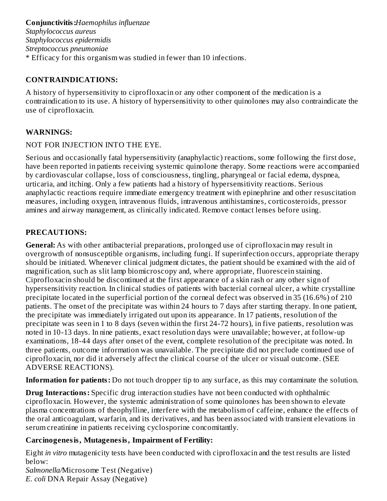**Conjunctivitis:***Haemophilus influenzae Staphylococcus aureus Staphylococcus epidermidis Streptococcus pneumoniae* \* Efficacy for this organism was studied in fewer than 10 infections.

## **CONTRAINDICATIONS:**

A history of hypersensitivity to ciprofloxacin or any other component of the medication is a contraindication to its use. A history of hypersensitivity to other quinolones may also contraindicate the use of ciprofloxacin.

# **WARNINGS:**

#### NOT FOR INJECTION INTO THE EYE.

Serious and occasionally fatal hypersensitivity (anaphylactic) reactions, some following the first dose, have been reported in patients receiving systemic quinolone therapy. Some reactions were accompanied by cardiovascular collapse, loss of consciousness, tingling, pharyngeal or facial edema, dyspnea, urticaria, and itching. Only a few patients had a history of hypersensitivity reactions. Serious anaphylactic reactions require immediate emergency treatment with epinephrine and other resuscitation measures, including oxygen, intravenous fluids, intravenous antihistamines, corticosteroids, pressor amines and airway management, as clinically indicated. Remove contact lenses before using.

#### **PRECAUTIONS:**

**General:** As with other antibacterial preparations, prolonged use of ciprofloxacin may result in overgrowth of nonsusceptible organisms, including fungi. If superinfection occurs, appropriate therapy should be initiated. Whenever clinical judgment dictates, the patient should be examined with the aid of magnification, such as slit lamp biomicroscopy and, where appropriate, fluorescein staining. Ciprofloxacin should be discontinued at the first appearance of a skin rash or any other sign of hypersensitivity reaction. In clinical studies of patients with bacterial corneal ulcer, a white crystalline precipitate located in the superficial portion of the corneal defect was observed in 35 (16.6%) of 210 patients. The onset of the precipitate was within 24 hours to 7 days after starting therapy. In one patient, the precipitate was immediately irrigated out upon its appearance. In 17 patients, resolution of the precipitate was seen in 1 to 8 days (seven within the first 24-72 hours), in five patients, resolution was noted in 10-13 days. In nine patients, exact resolution days were unavailable; however, at follow-up examinations, 18-44 days after onset of the event, complete resolution of the precipitate was noted. In three patients, outcome information was unavailable. The precipitate did not preclude continued use of ciprofloxacin, nor did it adversely affect the clinical course of the ulcer or visual outcome. (SEE ADVERSE REACTIONS).

**Information for patients:** Do not touch dropper tip to any surface, as this may contaminate the solution.

**Drug Interactions:** Specific drug interaction studies have not been conducted with ophthalmic ciprofloxacin. However, the systemic administration of some quinolones has been shown to elevate plasma concentrations of theophylline, interfere with the metabolism of caffeine, enhance the effects of the oral anticoagulant, warfarin, and its derivatives, and has been associated with transient elevations in serum creatinine in patients receiving cyclosporine concomitantly.

#### **Carcinogenesis, Mutagenesis, Impairment of Fertility:**

Eight *in vitro* mutagenicity tests have been conducted with ciprofloxacin and the test results are listed below:

*Salmonella/*Microsome Test (Negative) *E. coli* DNA Repair Assay (Negative)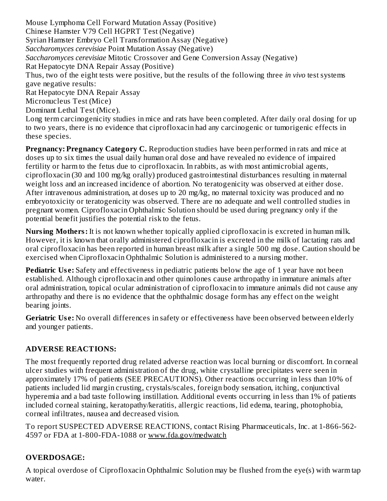Mouse Lymphoma Cell Forward Mutation Assay (Positive) Chinese Hamster V79 Cell HGPRT Test (Negative) Syrian Hamster Embryo Cell Transformation Assay (Negative) *Saccharomyces cerevisiae* Point Mutation Assay (Negative) *Saccharomyces cerevisiae* Mitotic Crossover and Gene Conversion Assay (Negative) Rat Hepatocyte DNA Repair Assay (Positive) Thus, two of the eight tests were positive, but the results of the following three *in vivo* test systems gave negative results: Rat Hepatocyte DNA Repair Assay Micronucleus Test (Mice) Dominant Lethal Test (Mice). Long term carcinogenicity studies in mice and rats have been completed. After daily oral dosing for up to two years, there is no evidence that ciprofloxacin had any carcinogenic or tumorigenic effects in these species.

**Pregnancy: Pregnancy Category C.** Reproduction studies have been performed in rats and mice at doses up to six times the usual daily human oral dose and have revealed no evidence of impaired fertility or harm to the fetus due to ciprofloxacin. In rabbits, as with most antimicrobial agents, ciprofloxacin (30 and 100 mg/kg orally) produced gastrointestinal disturbances resulting in maternal weight loss and an increased incidence of abortion. No teratogenicity was observed at either dose. After intravenous administration, at doses up to 20 mg/kg, no maternal toxicity was produced and no embryotoxicity or teratogenicity was observed. There are no adequate and well controlled studies in pregnant women. Ciprofloxacin Ophthalmic Solution should be used during pregnancy only if the potential benefit justifies the potential risk to the fetus.

**Nursing Mothers:** It is not known whether topically applied ciprofloxacin is excreted in human milk. However, it is known that orally administered ciprofloxacin is excreted in the milk of lactating rats and oral ciprofloxacin has been reported in human breast milk after a single 500 mg dose. Caution should be exercised when Ciprofloxacin Ophthalmic Solution is administered to a nursing mother.

**Pediatric** Use: Safety and effectiveness in pediatric patients below the age of 1 year have not been established. Although ciprofloxacin and other quinolones cause arthropathy in immature animals after oral administration, topical ocular administration of ciprofloxacin to immature animals did not cause any arthropathy and there is no evidence that the ophthalmic dosage form has any effect on the weight bearing joints.

**Geriatric Use:** No overall differences in safety or effectiveness have been observed between elderly and younger patients.

# **ADVERSE REACTIONS:**

The most frequently reported drug related adverse reaction was local burning or discomfort. In corneal ulcer studies with frequent administration of the drug, white crystalline precipitates were seen in approximately 17% of patients (SEE PRECAUTIONS). Other reactions occurring in less than 10% of patients included lid margin crusting, crystals/scales, foreign body sensation, itching, conjunctival hyperemia and a bad taste following instillation. Additional events occurring in less than 1% of patients included corneal staining, keratopathy/keratitis, allergic reactions, lid edema, tearing, photophobia, corneal infiltrates, nausea and decreased vision.

To report SUSPECTED ADVERSE REACTIONS, contact Rising Pharmaceuticals, Inc. at 1-866-562- 4597 or FDA at 1-800-FDA-1088 or www.fda.gov/medwatch

# **OVERDOSAGE:**

A topical overdose of Ciprofloxacin Ophthalmic Solution may be flushed from the eye(s) with warm tap water.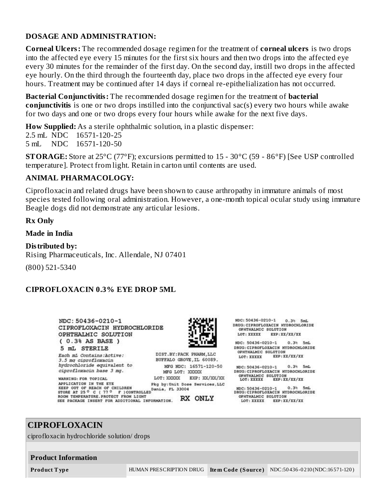#### **DOSAGE AND ADMINISTRATION:**

**Corneal Ulcers:** The recommended dosage regimen for the treatment of **corneal ulcers** is two drops into the affected eye every 15 minutes for the first six hours and then two drops into the affected eye every 30 minutes for the remainder of the first day. On the second day, instill two drops in the affected eye hourly. On the third through the fourteenth day, place two drops in the affected eye every four hours. Treatment may be continued after 14 days if corneal re-epithelialization has not occurred.

**Bacterial Conjunctivitis:** The recommended dosage regimen for the treatment of **bacterial conjunctivitis** is one or two drops instilled into the conjunctival sac(s) every two hours while awake for two days and one or two drops every four hours while awake for the next five days.

**How Supplied:** As a sterile ophthalmic solution, in a plastic dispenser: 2.5 mL NDC 16571-120-25 5 mL NDC 16571-120-50

**STORAGE:** Store at 25°C (77°F); excursions permitted to 15 - 30°C (59 - 86°F) [See USP controlled temperature]. Protect from light. Retain in carton until contents are used.

#### **ANIMAL PHARMACOLOGY:**

Ciprofloxacin and related drugs have been shown to cause arthropathy in immature animals of most species tested following oral administration. However, a one-month topical ocular study using immature Beagle dogs did not demonstrate any articular lesions.

**Rx Only**

**Made in India**

**Distributed by:** Rising Pharmaceuticals, Inc. Allendale, NJ 07401

(800) 521-5340

#### **CIPROFLOXACIN 0.3% EYE DROP 5ML**

CIPROFLOXACIN HYDROCHLORIDE

NDC: 50436-0210-1

 $(0.3% AS BASE)$ 

5 mL STERILE

WARNING: FOR TOPICAL

APPLICATION IN THE EYE

3.5 mq ciprofloxacin

OPHTHALMIC SOLUTION

Each mL Contains: Active:

hydrochloride equivalent to

ciprofloxacin base 3 mg.



DIST.BY: PACK PHARM, LLC BUFFALO GROVE, IL 60089. MFG NDC: 16571-120-50 MFG LOT: XXXXX LOT: XXXXX EXP: XX/XX/XX Pkg by: Unit Dose Services, LLC **REEP OUT OF REACH OF CHILDREN DAMIA, FL 33004**<br>STORE AT 25 ° C ( 77 ° F ) CONTROLLED<br>ROOM TEMPERATURE.PROTECT FROM LIGHT DV

ROOM TEMPERATURE.PROTECT FROM LIGHT<br>SEE PACKAGE INSERT FOR ADDITIONAL INFORMATION, RX ONLY

NDC: 50436-0210-1  $0.3*$ 5mL DRUG: CIPROFLOXACIN HYDROCHLORIDE OPHTHALMIC SOLUTION LOT: XXXXX EXP: XX/XX/XX

NDC: 50436-0210-1  $0.3k$  5mL DRUG: CIPROFLOXACIN HYDROCHLORIDE OPHTHALMIC SOLUTION EXP:XX/XX/XX LOT: XXXXX

NDC: 50436-0210-1  $0.3k$  5mL DRUG: CIPROFLOXACIN HYDROCHLORIDE OPHTHALMIC SOLUTION EXP: XX/XX/XX LOT: XXXXX

NDC: 50436-0210-1 0.3% 5mL<br>DRUG: CIPROFLOXACIN HYDROCHLORIDE OPHTHALMIC SOLUTION<br>LOT:XXXXX EXP:XX/XX/XX

#### **CIPROFLOXACIN**

ciprofloxacin hydrochloride solution/ drops

#### **Product Information**

**Product T ype** HUMAN PRESCRIPTION DRUG **Ite m Code (Source )** NDC:50 436 -0 210 (NDC:16 571-120 )